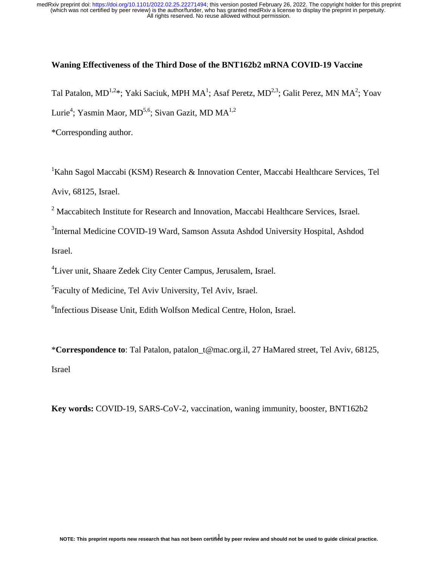#### **Waning Effectiveness of the Third Dose of the BNT162b2 mRNA COVID-19 Vaccine**

Tal Patalon, MD<sup>1,2</sup>\*; Yaki Saciuk, MPH MA<sup>1</sup>; Asaf Peretz, MD<sup>2,3</sup>; Galit Perez, MN MA<sup>2</sup>; Yoav Lurie<sup>4</sup>; Yasmin Maor, MD<sup>5,6</sup>; Sivan Gazit, MD MA<sup>1,2</sup>

\*Corresponding author.

<sup>1</sup>Kahn Sagol Maccabi (KSM) Research & Innovation Center, Maccabi Healthcare Services, Tel Aviv, 68125, Israel.

<sup>2</sup> Maccabitech Institute for Research and Innovation, Maccabi Healthcare Services, Israel.

<sup>3</sup>Internal Medicine COVID-19 Ward, Samson Assuta Ashdod University Hospital, Ashdod Israel.

4 Liver unit, Shaare Zedek City Center Campus, Jerusalem, Israel.

5 Faculty of Medicine, Tel Aviv University, Tel Aviv, Israel.

6 Infectious Disease Unit, Edith Wolfson Medical Centre, Holon, Israel.

\***Correspondence to**: Tal Patalon, patalon\_t@mac.org.il, 27 HaMared street, Tel Aviv, 68125, Israel

**Key words:** COVID-19, SARS-CoV-2, vaccination, waning immunity, booster, BNT162b2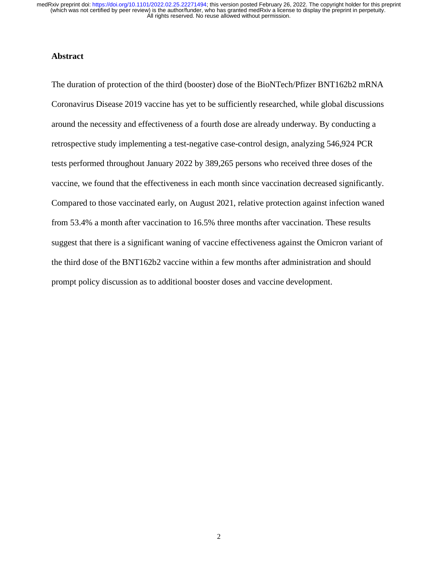#### **Abstract**

The duration of protection of the third (booster) dose of the BioNTech/Pfizer BNT162b2 mRNA Coronavirus Disease 2019 vaccine has yet to be sufficiently researched, while global discussions around the necessity and effectiveness of a fourth dose are already underway. By conducting a retrospective study implementing a test-negative case-control design, analyzing 546,924 PCR tests performed throughout January 2022 by 389,265 persons who received three doses of the vaccine, we found that the effectiveness in each month since vaccination decreased significantly. Compared to those vaccinated early, on August 2021, relative protection against infection waned from 53.4% a month after vaccination to 16.5% three months after vaccination. These results suggest that there is a significant waning of vaccine effectiveness against the Omicron variant of the third dose of the BNT162b2 vaccine within a few months after administration and should prompt policy discussion as to additional booster doses and vaccine development.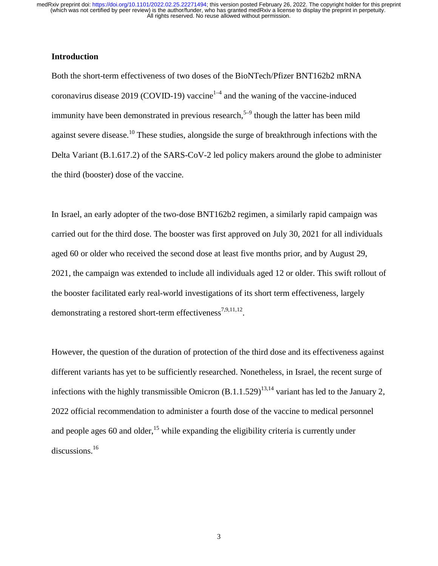## **Introduction**

Both the short-term effectiveness of two doses of the BioNTech/Pfizer BNT162b2 mRNA coronavirus disease 2019 (COVID-19) vaccine<sup>1–4</sup> and the waning of the vaccine-induced immunity have been demonstrated in previous research,<sup>5–9</sup> though the latter has been mild against severe disease.<sup>10</sup> These studies, alongside the surge of breakthrough infections with the Delta Variant (B.1.617.2) of the SARS-CoV-2 led policy makers around the globe to administer the third (booster) dose of the vaccine.

In Israel, an early adopter of the two-dose BNT162b2 regimen, a similarly rapid campaign was carried out for the third dose. The booster was first approved on July 30, 2021 for all individuals aged 60 or older who received the second dose at least five months prior, and by August 29, 2021, the campaign was extended to include all individuals aged 12 or older. This swift rollout of the booster facilitated early real-world investigations of its short term effectiveness, largely demonstrating a restored short-term effectiveness<sup>7,9,11,12</sup>.

However, the question of the duration of protection of the third dose and its effectiveness against different variants has yet to be sufficiently researched. Nonetheless, in Israel, the recent surge of infections with the highly transmissible Omicron  $(B.1.1.529)^{13,14}$  variant has led to the January 2, 2022 official recommendation to administer a fourth dose of the vaccine to medical personnel and people ages 60 and older,<sup>15</sup> while expanding the eligibility criteria is currently under discussions.<sup>16</sup>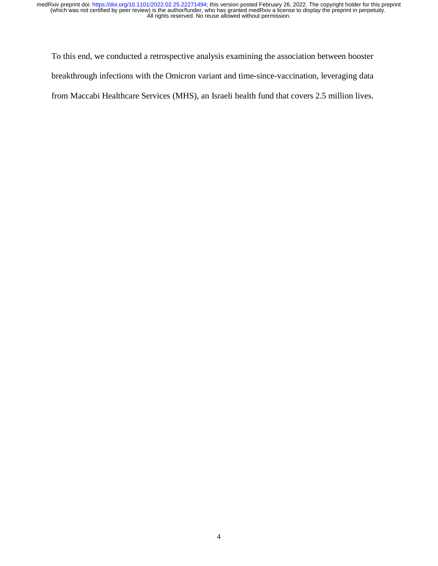To this end, we conducted a retrospective analysis examining the association between booster breakthrough infections with the Omicron variant and time-since-vaccination, leveraging data from Maccabi Healthcare Services (MHS), an Israeli health fund that covers 2.5 million lives.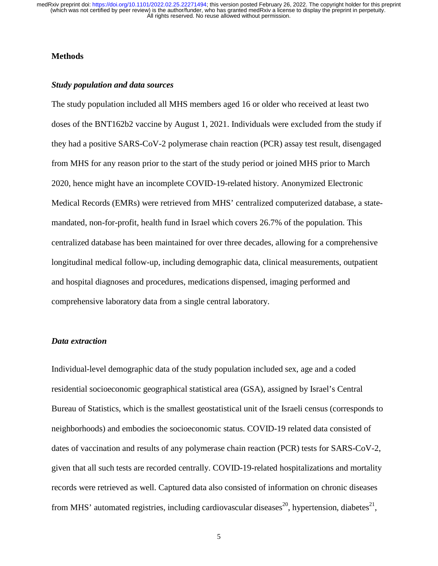#### **Methods**

#### *Study population and data sources*

The study population included all MHS members aged 16 or older who received at least two doses of the BNT162b2 vaccine by August 1, 2021. Individuals were excluded from the study if they had a positive SARS-CoV-2 polymerase chain reaction (PCR) assay test result, disengaged from MHS for any reason prior to the start of the study period or joined MHS prior to March 2020, hence might have an incomplete COVID-19-related history. Anonymized Electronic Medical Records (EMRs) were retrieved from MHS' centralized computerized database, a statemandated, non-for-profit, health fund in Israel which covers 26.7% of the population. This centralized database has been maintained for over three decades, allowing for a comprehensive longitudinal medical follow-up, including demographic data, clinical measurements, outpatient and hospital diagnoses and procedures, medications dispensed, imaging performed and comprehensive laboratory data from a single central laboratory.

#### *Data extraction*

Individual-level demographic data of the study population included sex, age and a coded residential socioeconomic geographical statistical area (GSA), assigned by Israel's Central Bureau of Statistics, which is the smallest geostatistical unit of the Israeli census (corresponds to neighborhoods) and embodies the socioeconomic status. COVID-19 related data consisted of dates of vaccination and results of any polymerase chain reaction (PCR) tests for SARS-CoV-2, given that all such tests are recorded centrally. COVID-19-related hospitalizations and mortality records were retrieved as well. Captured data also consisted of information on chronic diseases from MHS' automated registries, including cardiovascular diseases<sup>20</sup>, hypertension, diabetes<sup>21</sup>.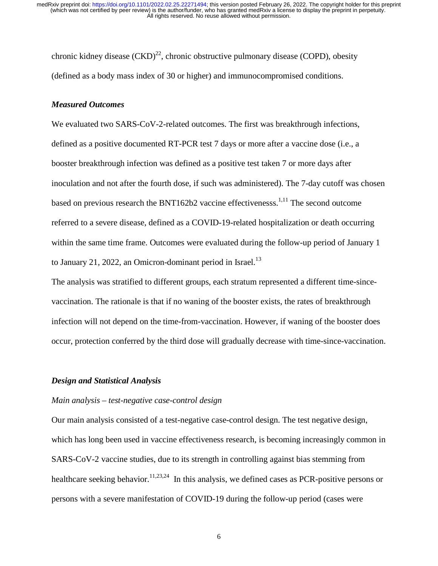chronic kidney disease  $(CKD)^{22}$ , chronic obstructive pulmonary disease (COPD), obesity (defined as a body mass index of 30 or higher) and immunocompromised conditions.

#### *Measured Outcomes*

We evaluated two SARS-CoV-2-related outcomes. The first was breakthrough infections, defined as a positive documented RT-PCR test 7 days or more after a vaccine dose (i.e., a booster breakthrough infection was defined as a positive test taken 7 or more days after inoculation and not after the fourth dose, if such was administered). The 7-day cutoff was chosen based on previous research the BNT162b2 vaccine effectivenesss.<sup>1,11</sup> The second outcome referred to a severe disease, defined as a COVID-19-related hospitalization or death occurring within the same time frame. Outcomes were evaluated during the follow-up period of January 1 to January 21, 2022, an Omicron-dominant period in Israel.<sup>13</sup>

The analysis was stratified to different groups, each stratum represented a different time-sincevaccination. The rationale is that if no waning of the booster exists, the rates of breakthrough infection will not depend on the time-from-vaccination. However, if waning of the booster does occur, protection conferred by the third dose will gradually decrease with time-since-vaccination.

#### *Design and Statistical Analysis*

#### *Main analysis – test-negative case-control design*

Our main analysis consisted of a test-negative case-control design. The test negative design, which has long been used in vaccine effectiveness research, is becoming increasingly common in SARS-CoV-2 vaccine studies, due to its strength in controlling against bias stemming from healthcare seeking behavior.<sup>11,23,24</sup> In this analysis, we defined cases as PCR-positive persons or persons with a severe manifestation of COVID-19 during the follow-up period (cases were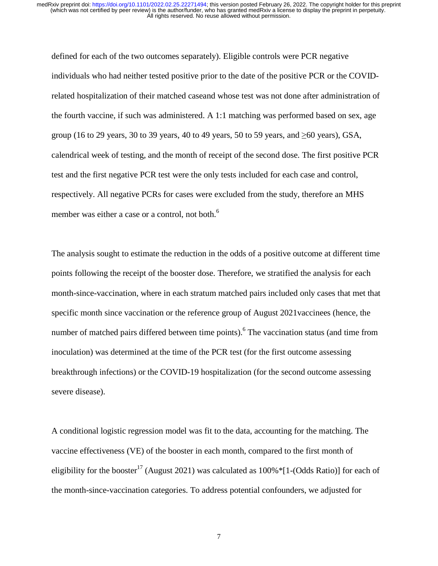defined for each of the two outcomes separately). Eligible controls were PCR negative individuals who had neither tested positive prior to the date of the positive PCR or the COVIDrelated hospitalization of their matched caseand whose test was not done after administration of the fourth vaccine, if such was administered. A 1:1 matching was performed based on sex, age group (16 to 29 years, 30 to 39 years, 40 to 49 years, 50 to 59 years, and  $\geq 60$  years), GSA, calendrical week of testing, and the month of receipt of the second dose. The first positive PCR test and the first negative PCR test were the only tests included for each case and control, respectively. All negative PCRs for cases were excluded from the study, therefore an MHS member was either a case or a control, not both.<sup>6</sup>

The analysis sought to estimate the reduction in the odds of a positive outcome at different time points following the receipt of the booster dose. Therefore, we stratified the analysis for each month-since-vaccination, where in each stratum matched pairs included only cases that met that specific month since vaccination or the reference group of August 2021vaccinees (hence, the number of matched pairs differed between time points). <sup>6</sup> The vaccination status (and time from inoculation) was determined at the time of the PCR test (for the first outcome assessing breakthrough infections) or the COVID-19 hospitalization (for the second outcome assessing severe disease).

A conditional logistic regression model was fit to the data, accounting for the matching. The vaccine effectiveness (VE) of the booster in each month, compared to the first month of eligibility for the booster<sup>17</sup> (August 2021) was calculated as  $100\%$  \*[1-(Odds Ratio)] for each of the month-since-vaccination categories. To address potential confounders, we adjusted for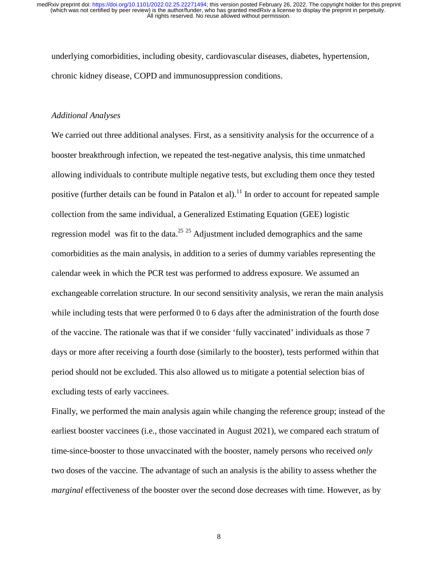underlying comorbidities, including obesity, cardiovascular diseases, diabetes, hypertension, chronic kidney disease, COPD and immunosuppression conditions.

#### *Additional Analyses*

We carried out three additional analyses. First, as a sensitivity analysis for the occurrence of a booster breakthrough infection, we repeated the test-negative analysis, this time unmatched allowing individuals to contribute multiple negative tests, but excluding them once they tested positive (further details can be found in Patalon et al).<sup>11</sup> In order to account for repeated sample collection from the same individual, a Generalized Estimating Equation (GEE) logistic regression model was fit to the data.<sup>25 25</sup> Adjustment included demographics and the same comorbidities as the main analysis, in addition to a series of dummy variables representing the calendar week in which the PCR test was performed to address exposure. We assumed an exchangeable correlation structure. In our second sensitivity analysis, we reran the main analysis while including tests that were performed 0 to 6 days after the administration of the fourth dose of the vaccine. The rationale was that if we consider 'fully vaccinated' individuals as those 7 days or more after receiving a fourth dose (similarly to the booster), tests performed within that period should not be excluded. This also allowed us to mitigate a potential selection bias of excluding tests of early vaccinees.

Finally, we performed the main analysis again while changing the reference group; instead of the earliest booster vaccinees (i.e., those vaccinated in August 2021), we compared each stratum of time-since-booster to those unvaccinated with the booster, namely persons who received *only* two doses of the vaccine. The advantage of such an analysis is the ability to assess whether the *marginal* effectiveness of the booster over the second dose decreases with time. However, as by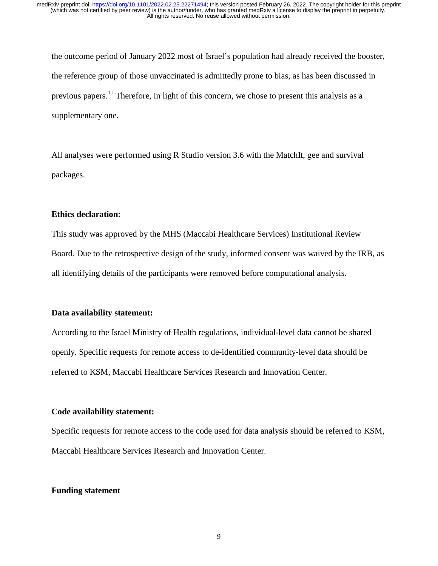the outcome period of January 2022 most of Israel's population had already received the booster, the reference group of those unvaccinated is admittedly prone to bias, as has been discussed in previous papers.<sup>11</sup> Therefore, in light of this concern, we chose to present this analysis as a supplementary one.

All analyses were performed using R Studio version 3.6 with the MatchIt, gee and survival packages.

## **Ethics declaration:**

This study was approved by the MHS (Maccabi Healthcare Services) Institutional Review Board. Due to the retrospective design of the study, informed consent was waived by the IRB, as all identifying details of the participants were removed before computational analysis.

#### **Data availability statement:**

According to the Israel Ministry of Health regulations, individual-level data cannot be shared openly. Specific requests for remote access to de-identified community-level data should be referred to KSM, Maccabi Healthcare Services Research and Innovation Center.

#### **Code availability statement:**

Specific requests for remote access to the code used for data analysis should be referred to KSM, Maccabi Healthcare Services Research and Innovation Center.

#### **Funding statement**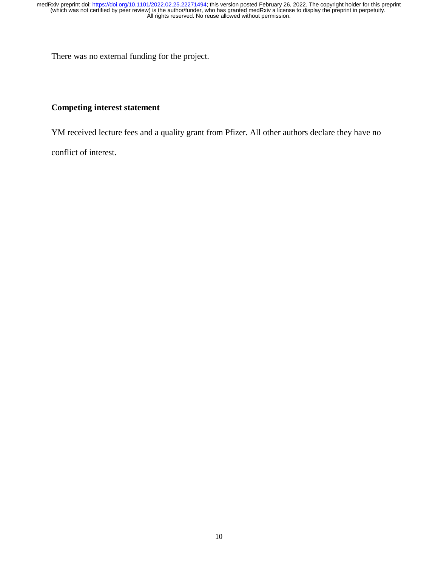There was no external funding for the project.

# **Competing interest statement**

YM received lecture fees and a quality grant from Pfizer. All other authors declare they have no

conflict of interest.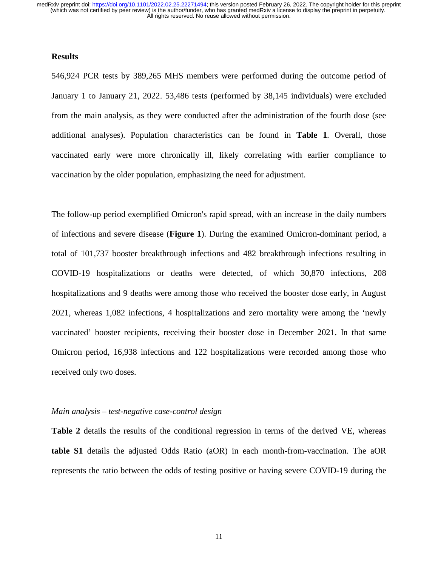#### **Results**

546,924 PCR tests by 389,265 MHS members were performed during the outcome period of January 1 to January 21, 2022. 53,486 tests (performed by 38,145 individuals) were excluded from the main analysis, as they were conducted after the administration of the fourth dose (see additional analyses). Population characteristics can be found in **Table 1**. Overall, those vaccinated early were more chronically ill, likely correlating with earlier compliance to vaccination by the older population, emphasizing the need for adjustment.

The follow-up period exemplified Omicron's rapid spread, with an increase in the daily numbers of infections and severe disease (**Figure 1**). During the examined Omicron-dominant period, a total of 101,737 booster breakthrough infections and 482 breakthrough infections resulting in COVID-19 hospitalizations or deaths were detected, of which 30,870 infections, 208 hospitalizations and 9 deaths were among those who received the booster dose early, in August 2021, whereas 1,082 infections, 4 hospitalizations and zero mortality were among the 'newly vaccinated' booster recipients, receiving their booster dose in December 2021. In that same Omicron period, 16,938 infections and 122 hospitalizations were recorded among those who received only two doses.

#### *Main analysis – test-negative case-control design*

**Table 2** details the results of the conditional regression in terms of the derived VE, whereas **table S1** details the adjusted Odds Ratio (aOR) in each month-from-vaccination. The aOR represents the ratio between the odds of testing positive or having severe COVID-19 during the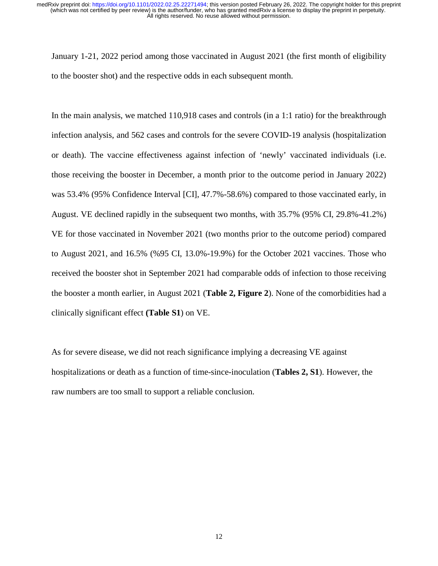January 1-21, 2022 period among those vaccinated in August 2021 (the first month of eligibility to the booster shot) and the respective odds in each subsequent month.

In the main analysis, we matched 110,918 cases and controls (in a 1:1 ratio) for the breakthrough infection analysis, and 562 cases and controls for the severe COVID-19 analysis (hospitalization or death). The vaccine effectiveness against infection of 'newly' vaccinated individuals (i.e. those receiving the booster in December, a month prior to the outcome period in January 2022) was 53.4% (95% Confidence Interval [CI], 47.7%-58.6%) compared to those vaccinated early, in August. VE declined rapidly in the subsequent two months, with 35.7% (95% CI, 29.8%-41.2%) VE for those vaccinated in November 2021 (two months prior to the outcome period) compared to August 2021, and 16.5% (%95 CI, 13.0%-19.9%) for the October 2021 vaccines. Those who received the booster shot in September 2021 had comparable odds of infection to those receiving the booster a month earlier, in August 2021 (**Table 2, Figure 2**). None of the comorbidities had a clinically significant effect **(Table S1**) on VE.

As for severe disease, we did not reach significance implying a decreasing VE against hospitalizations or death as a function of time-since-inoculation (**Tables 2, S1**). However, the raw numbers are too small to support a reliable conclusion.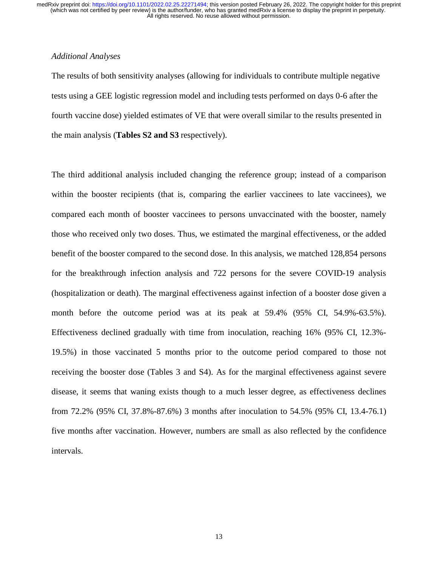#### *Additional Analyses*

The results of both sensitivity analyses (allowing for individuals to contribute multiple negative tests using a GEE logistic regression model and including tests performed on days 0-6 after the fourth vaccine dose) yielded estimates of VE that were overall similar to the results presented in the main analysis (**Tables S2 and S3** respectively).

The third additional analysis included changing the reference group; instead of a comparison within the booster recipients (that is, comparing the earlier vaccinees to late vaccinees), we compared each month of booster vaccinees to persons unvaccinated with the booster, namely those who received only two doses. Thus, we estimated the marginal effectiveness, or the added benefit of the booster compared to the second dose. In this analysis, we matched 128,854 persons for the breakthrough infection analysis and 722 persons for the severe COVID-19 analysis (hospitalization or death). The marginal effectiveness against infection of a booster dose given a month before the outcome period was at its peak at 59.4% (95% CI, 54.9%-63.5%). Effectiveness declined gradually with time from inoculation, reaching 16% (95% CI, 12.3%- 19.5%) in those vaccinated 5 months prior to the outcome period compared to those not receiving the booster dose (Tables 3 and S4). As for the marginal effectiveness against severe disease, it seems that waning exists though to a much lesser degree, as effectiveness declines from 72.2% (95% CI, 37.8%-87.6%) 3 months after inoculation to 54.5% (95% CI, 13.4-76.1) five months after vaccination. However, numbers are small as also reflected by the confidence intervals.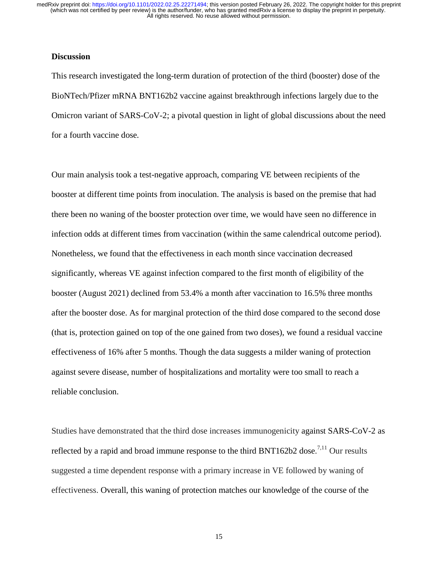#### **Discussion**

This research investigated the long-term duration of protection of the third (booster) dose of the BioNTech/Pfizer mRNA BNT162b2 vaccine against breakthrough infections largely due to the Omicron variant of SARS-CoV-2; a pivotal question in light of global discussions about the need for a fourth vaccine dose.

Our main analysis took a test-negative approach, comparing VE between recipients of the booster at different time points from inoculation. The analysis is based on the premise that had there been no waning of the booster protection over time, we would have seen no difference in infection odds at different times from vaccination (within the same calendrical outcome period). Nonetheless, we found that the effectiveness in each month since vaccination decreased significantly, whereas VE against infection compared to the first month of eligibility of the booster (August 2021) declined from 53.4% a month after vaccination to 16.5% three months after the booster dose. As for marginal protection of the third dose compared to the second dose (that is, protection gained on top of the one gained from two doses), we found a residual vaccine effectiveness of 16% after 5 months. Though the data suggests a milder waning of protection against severe disease, number of hospitalizations and mortality were too small to reach a reliable conclusion.

Studies have demonstrated that the third dose increases immunogenicity against SARS-CoV-2 as reflected by a rapid and broad immune response to the third BNT162b2 dose.<sup>7,11</sup> Our results suggested a time dependent response with a primary increase in VE followed by waning of effectiveness. Overall, this waning of protection matches our knowledge of the course of the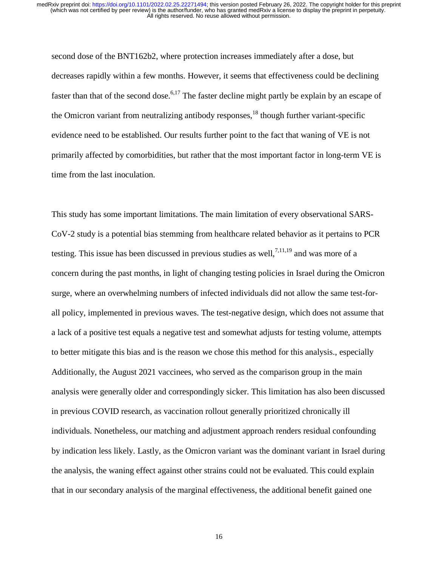second dose of the BNT162b2, where protection increases immediately after a dose, but decreases rapidly within a few months. However, it seems that effectiveness could be declining faster than that of the second dose.<sup>6,17</sup> The faster decline might partly be explain by an escape of the Omicron variant from neutralizing antibody responses, $^{18}$  though further variant-specific evidence need to be established. Our results further point to the fact that waning of VE is not primarily affected by comorbidities, but rather that the most important factor in long-term VE is time from the last inoculation.

This study has some important limitations. The main limitation of every observational SARS-CoV-2 study is a potential bias stemming from healthcare related behavior as it pertains to PCR testing. This issue has been discussed in previous studies as well,  $7,11,19$  and was more of a concern during the past months, in light of changing testing policies in Israel during the Omicron surge, where an overwhelming numbers of infected individuals did not allow the same test-forall policy, implemented in previous waves. The test-negative design, which does not assume that a lack of a positive test equals a negative test and somewhat adjusts for testing volume, attempts to better mitigate this bias and is the reason we chose this method for this analysis., especially Additionally, the August 2021 vaccinees, who served as the comparison group in the main analysis were generally older and correspondingly sicker. This limitation has also been discussed in previous COVID research, as vaccination rollout generally prioritized chronically ill individuals. Nonetheless, our matching and adjustment approach renders residual confounding by indication less likely. Lastly, as the Omicron variant was the dominant variant in Israel during the analysis, the waning effect against other strains could not be evaluated. This could explain that in our secondary analysis of the marginal effectiveness, the additional benefit gained one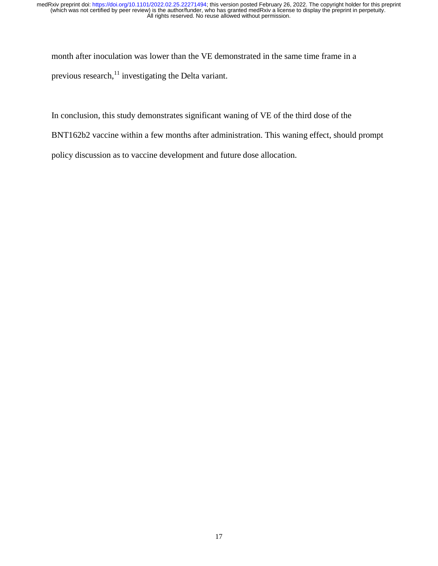month after inoculation was lower than the VE demonstrated in the same time frame in a previous research, $^{11}$  investigating the Delta variant.

In conclusion, this study demonstrates significant waning of VE of the third dose of the

BNT162b2 vaccine within a few months after administration. This waning effect, should prompt

policy discussion as to vaccine development and future dose allocation.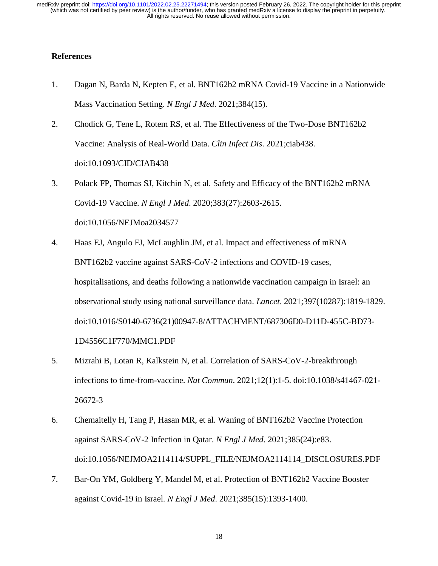#### **References**

- 1. Dagan N, Barda N, Kepten E, et al. BNT162b2 mRNA Covid-19 Vaccine in a Nationwide Mass Vaccination Setting. *N Engl J Med*. 2021;384(15).
- 2. Chodick G, Tene L, Rotem RS, et al. The Effectiveness of the Two-Dose BNT162b2 Vaccine: Analysis of Real-World Data. *Clin Infect Dis*. 2021;ciab438. doi:10.1093/CID/CIAB438
- 3. Polack FP, Thomas SJ, Kitchin N, et al. Safety and Efficacy of the BNT162b2 mRNA Covid-19 Vaccine. *N Engl J Med*. 2020;383(27):2603-2615. doi:10.1056/NEJMoa2034577
- 4. Haas EJ, Angulo FJ, McLaughlin JM, et al. Impact and effectiveness of mRNA BNT162b2 vaccine against SARS-CoV-2 infections and COVID-19 cases, hospitalisations, and deaths following a nationwide vaccination campaign in Israel: an observational study using national surveillance data. *Lancet*. 2021;397(10287):1819-1829. doi:10.1016/S0140-6736(21)00947-8/ATTACHMENT/687306D0-D11D-455C-BD73- 1D4556C1F770/MMC1.PDF
- 5. Mizrahi B, Lotan R, Kalkstein N, et al. Correlation of SARS-CoV-2-breakthrough infections to time-from-vaccine. *Nat Commun*. 2021;12(1):1-5. doi:10.1038/s41467-021- 26672-3
- 6. Chemaitelly H, Tang P, Hasan MR, et al. Waning of BNT162b2 Vaccine Protection against SARS-CoV-2 Infection in Qatar. *N Engl J Med*. 2021;385(24):e83. doi:10.1056/NEJMOA2114114/SUPPL\_FILE/NEJMOA2114114\_DISCLOSURES.PDF
- 7. Bar-On YM, Goldberg Y, Mandel M, et al. Protection of BNT162b2 Vaccine Booster against Covid-19 in Israel. *N Engl J Med*. 2021;385(15):1393-1400.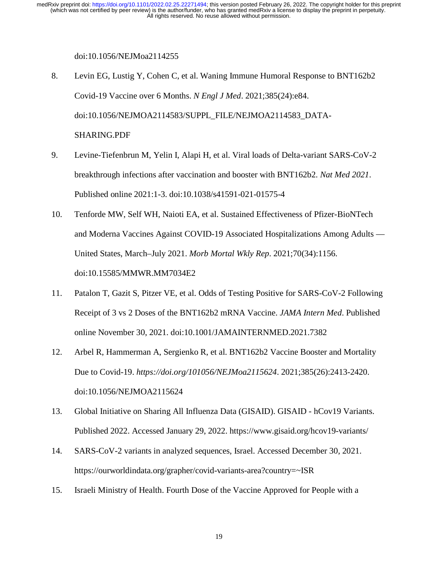#### doi:10.1056/NEJMoa2114255

- 8. Levin EG, Lustig Y, Cohen C, et al. Waning Immune Humoral Response to BNT162b2 Covid-19 Vaccine over 6 Months. *N Engl J Med*. 2021;385(24):e84. doi:10.1056/NEJMOA2114583/SUPPL\_FILE/NEJMOA2114583\_DATA-SHARING.PDF
- 9. Levine-Tiefenbrun M, Yelin I, Alapi H, et al. Viral loads of Delta-variant SARS-CoV-2 breakthrough infections after vaccination and booster with BNT162b2. *Nat Med 2021*. Published online 2021:1-3. doi:10.1038/s41591-021-01575-4
- 10. Tenforde MW, Self WH, Naioti EA, et al. Sustained Effectiveness of Pfizer-BioNTech and Moderna Vaccines Against COVID-19 Associated Hospitalizations Among Adults — United States, March–July 2021. *Morb Mortal Wkly Rep*. 2021;70(34):1156. doi:10.15585/MMWR.MM7034E2
- 11. Patalon T, Gazit S, Pitzer VE, et al. Odds of Testing Positive for SARS-CoV-2 Following Receipt of 3 vs 2 Doses of the BNT162b2 mRNA Vaccine. *JAMA Intern Med*. Published online November 30, 2021. doi:10.1001/JAMAINTERNMED.2021.7382
- 12. Arbel R, Hammerman A, Sergienko R, et al. BNT162b2 Vaccine Booster and Mortality Due to Covid-19. *https://doi.org/101056/NEJMoa2115624*. 2021;385(26):2413-2420. doi:10.1056/NEJMOA2115624
- 13. Global Initiative on Sharing All Influenza Data (GISAID). GISAID hCov19 Variants. Published 2022. Accessed January 29, 2022. https://www.gisaid.org/hcov19-variants/
- 14. SARS-CoV-2 variants in analyzed sequences, Israel. Accessed December 30, 2021. https://ourworldindata.org/grapher/covid-variants-area?country=~ISR
- 15. Israeli Ministry of Health. Fourth Dose of the Vaccine Approved for People with a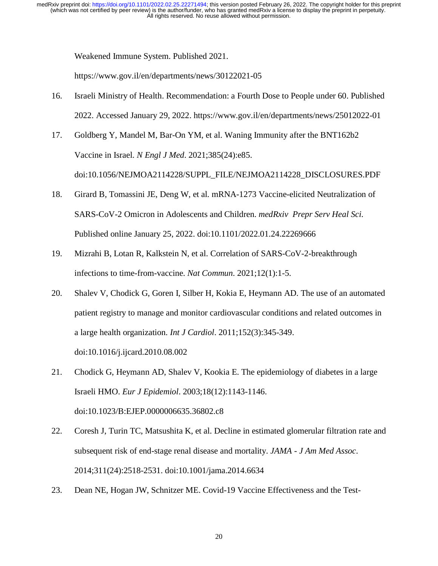Weakened Immune System. Published 2021.

https://www.gov.il/en/departments/news/30122021-05

- 16. Israeli Ministry of Health. Recommendation: a Fourth Dose to People under 60. Published 2022. Accessed January 29, 2022. https://www.gov.il/en/departments/news/25012022-01
- 17. Goldberg Y, Mandel M, Bar-On YM, et al. Waning Immunity after the BNT162b2 Vaccine in Israel. *N Engl J Med*. 2021;385(24):e85. doi:10.1056/NEJMOA2114228/SUPPL\_FILE/NEJMOA2114228\_DISCLOSURES.PDF
- 18. Girard B, Tomassini JE, Deng W, et al. mRNA-1273 Vaccine-elicited Neutralization of SARS-CoV-2 Omicron in Adolescents and Children. *medRxiv Prepr Serv Heal Sci*. Published online January 25, 2022. doi:10.1101/2022.01.24.22269666
- 19. Mizrahi B, Lotan R, Kalkstein N, et al. Correlation of SARS-CoV-2-breakthrough infections to time-from-vaccine. *Nat Commun*. 2021;12(1):1-5.
- 20. Shalev V, Chodick G, Goren I, Silber H, Kokia E, Heymann AD. The use of an automated patient registry to manage and monitor cardiovascular conditions and related outcomes in a large health organization. *Int J Cardiol*. 2011;152(3):345-349. doi:10.1016/j.ijcard.2010.08.002
- 21. Chodick G, Heymann AD, Shalev V, Kookia E. The epidemiology of diabetes in a large Israeli HMO. *Eur J Epidemiol*. 2003;18(12):1143-1146. doi:10.1023/B:EJEP.0000006635.36802.c8
- 22. Coresh J, Turin TC, Matsushita K, et al. Decline in estimated glomerular filtration rate and subsequent risk of end-stage renal disease and mortality. *JAMA - J Am Med Assoc*. 2014;311(24):2518-2531. doi:10.1001/jama.2014.6634
- 23. Dean NE, Hogan JW, Schnitzer ME. Covid-19 Vaccine Effectiveness and the Test-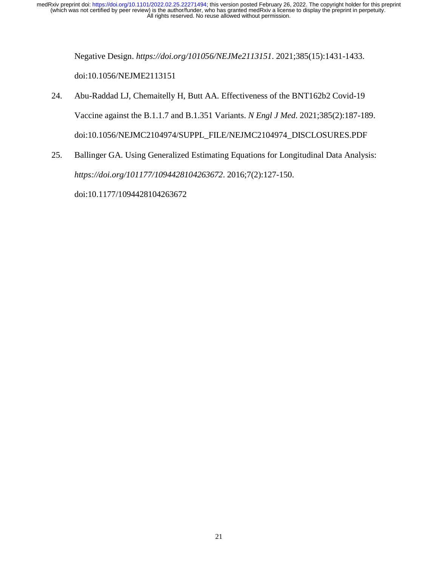> Negative Design. *https://doi.org/101056/NEJMe2113151*. 2021;385(15):1431-1433. doi:10.1056/NEJME2113151

- 24. Abu-Raddad LJ, Chemaitelly H, Butt AA. Effectiveness of the BNT162b2 Covid-19 Vaccine against the B.1.1.7 and B.1.351 Variants. *N Engl J Med*. 2021;385(2):187-189. doi:10.1056/NEJMC2104974/SUPPL\_FILE/NEJMC2104974\_DISCLOSURES.PDF
- 25. Ballinger GA. Using Generalized Estimating Equations for Longitudinal Data Analysis: *https://doi.org/101177/1094428104263672*. 2016;7(2):127-150.

doi:10.1177/1094428104263672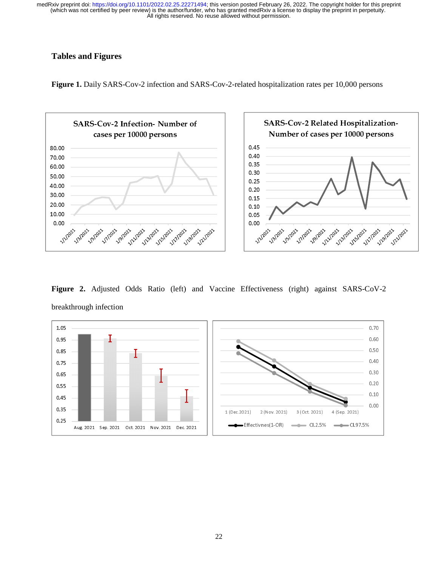# **Tables and Figures**

**Figure 1.** Daily SARS-Cov-2 infection and SARS-Cov-2-related hospitalization rates per 10,000 persons



**Figure 2.** Adjusted Odds Ratio (left) and Vaccine Effectiveness (right) against SARS-CoV-2 breakthrough infection

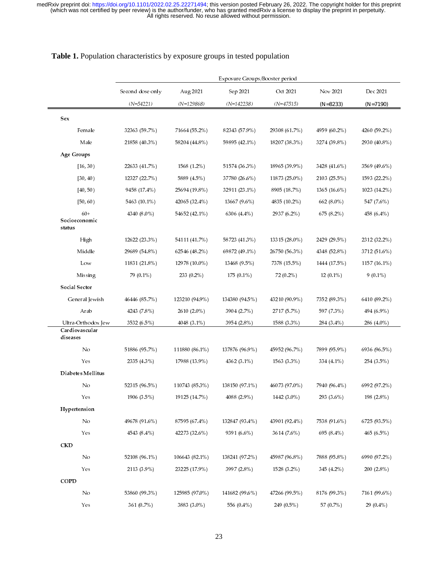|                                                   | Exposure Groups/Booster period                                               |                |                |               |              |              |  |
|---------------------------------------------------|------------------------------------------------------------------------------|----------------|----------------|---------------|--------------|--------------|--|
|                                                   | Dec 2021<br>Sep 2021<br>Oct 2021<br>Nov 2021<br>Second dose only<br>Aug 2021 |                |                |               |              |              |  |
|                                                   | $(N=54221)$                                                                  | $(N=129868)$   | $(N=142238)$   | $(N=47515)$   | $(N = 8233)$ | $(N=7190)$   |  |
| Sex                                               |                                                                              |                |                |               |              |              |  |
| Female                                            | 32363 (59.7%)                                                                | 71664 (55.2%)  | 82343 (57.9%)  | 29308 (61.7%) | 4959 (60.2%) | 4260 (59.2%) |  |
| Male                                              | 21858 (40.3%)                                                                | 58204 (44.8%)  | 59895 (42.1%)  | 18207 (38.3%) | 3274 (39.8%) | 2930 (40.8%) |  |
| Age Groups                                        |                                                                              |                |                |               |              |              |  |
| [16, 30)                                          | 22633 (41.7%)                                                                | 1568 (1.2%)    | 51574 (36.3%)  | 18965 (39.9%) | 3428 (41.6%) | 3569 (49.6%) |  |
| [30, 40)                                          | 12327 (22.7%)                                                                | 5889 (4.5%)    | 37780 (26.6%)  | 11873 (25.0%) | 2103 (25.5%) | 1593 (22.2%) |  |
| [40, 50)                                          | 9458 (17.4%)                                                                 | 25694 (19.8%)  | 32911 (23.1%)  | 8905 (18.7%)  | 1365 (16.6%) | 1023 (14.2%) |  |
| [50, 60)                                          | 5463 (10.1%)                                                                 | 42065 (32.4%)  | 13667 (9.6%)   | 4835 (10.2%)  | 662 (8.0%)   | 547 (7.6%)   |  |
| $60+$<br>Socioeconomic                            | 4340 (8.0%)                                                                  | 54652 (42.1%)  | 6306 (4.4%)    | 2937 (6.2%)   | 675 (8.2%)   | 458 (6.4%)   |  |
| status                                            |                                                                              |                |                |               |              |              |  |
| High                                              | 12622 (23.3%)                                                                | 54111 (41.7%)  | 58723 (41.3%)  | 13315 (28.0%) | 2429 (29.5%) | 2312 (32.2%) |  |
| Middle                                            | 29689 (54.8%)                                                                | 62546 (48.2%)  | 69872 (49.1%)  | 26750 (56.3%) | 4348 (52.8%) | 3712 (51.6%) |  |
| Low                                               | 11831 (21.8%)                                                                | 12978 (10.0%)  | 13468 (9.5%)   | 7378 (15.5%)  | 1444 (17.5%) | 1157 (16.1%) |  |
| Missing                                           | 79 (0.1%)                                                                    | 233 (0.2%)     | $175(0.1\%)$   | 72 (0.2%)     | $12(0.1\%)$  | $9(0.1\%)$   |  |
| Social Sector                                     |                                                                              |                |                |               |              |              |  |
| General Jewish                                    | 46446 (85.7%)                                                                | 123210 (94.9%) | 134380 (94.5%) | 43210 (90.9%) | 7352 (89.3%) | 6410 (89.2%) |  |
| Arab                                              | 4243 (7.8%)                                                                  | 2610 (2.0%)    | 3904 (2.7%)    | 2717 (5.7%)   | 597 (7.3%)   | 494 (6.9%)   |  |
| Ultra-Orthodox Jew<br>Cardiov ascular<br>diseases | 3532 (6.5%)                                                                  | 4048 (3.1%)    | 3954 (2.8%)    | 1588 (3.3%)   | 284 (3.4%)   | 286 (4.0%)   |  |
| No                                                | 51886 (95.7%)                                                                | 111880 (86.1%) | 137876 (96.9%) | 45952 (96.7%) | 7899 (95.9%) | 6936 (96.5%) |  |
| Yes                                               | 2335 (4.3%)                                                                  | 17988 (13.9%)  | 4362 (3.1%)    | 1563 (3.3%)   | 334 (4.1%)   | 254 (3.5%)   |  |
| Diabetes Mellitus                                 |                                                                              |                |                |               |              |              |  |
| No                                                | 52315 (96.5%)                                                                | 110743 (85.3%) | 138150 (97.1%) | 46073 (97.0%) | 7940 (96.4%) | 6992 (97.2%) |  |
| Yes                                               | 1906 (3.5%)                                                                  | 19125 (14.7%)  | 4088 (2.9%)    | 1442 (3.0%)   | 293 (3.6%)   | 198 (2.8%)   |  |
| Hypertension                                      |                                                                              |                |                |               |              |              |  |
| No                                                | 49678 (91.6%)                                                                | 87595 (67.4%)  | 132847 (93.4%) | 43901 (92.4%) | 7538 (91.6%) | 6725 (93.5%) |  |
| Yes                                               | 4543 (8.4%)                                                                  | 42273 (32.6%)  | 9391 (6.6%)    | 3614 (7.6%)   | 695 (8.4%)   | 465 (6.5%)   |  |
| <b>CKD</b>                                        |                                                                              |                |                |               |              |              |  |
| No                                                | 52108 (96.1%)                                                                | 106643 (82.1%) | 138241 (97.2%) | 45987 (96.8%) | 7888 (95.8%) | 6990 (97.2%) |  |
| Yes                                               | 2113 (3.9%)                                                                  | 23225 (17.9%)  | 3997 (2.8%)    | 1528 (3.2%)   | 345 (4.2%)   | 200 (2.8%)   |  |
| COPD                                              |                                                                              |                |                |               |              |              |  |
| No                                                | 53860 (99.3%)                                                                | 125985 (97.0%) | 141682 (99.6%) | 47266 (99.5%) | 8176 (99.3%) | 7161 (99.6%) |  |
| Yes                                               | 361 (0.7%)                                                                   | 3883 (3.0%)    | 556 (0.4%)     | 249 (0.5%)    | 57 (0.7%)    | 29 (0.4%)    |  |

#### **Table 1.** Population characteristics by exposure groups in tested population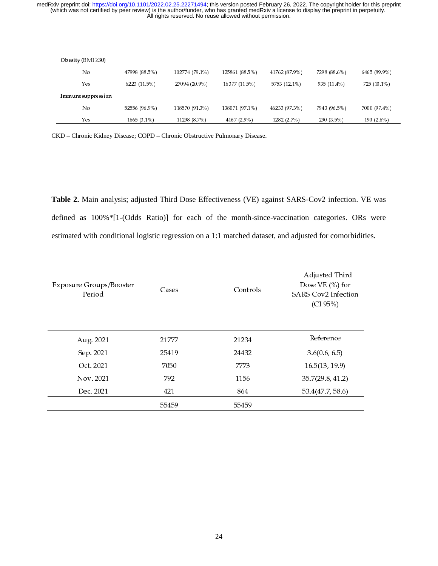| Obesity ( $BMI \geq 30$ ) |               |                |                |               |              |               |
|---------------------------|---------------|----------------|----------------|---------------|--------------|---------------|
| No                        | 47998 (88.5%) | 102774 (79.1%) | 125861 (88.5%) | 41762 (87.9%) | 7298 (88.6%) | 6465 (89.9%)  |
| Yes                       | 6223 (11.5%)  | 27094 (20.9%)  | 16377 (11.5%)  | 5753 (12.1%)  | 935 (11.4%)  | 725 (10.1%)   |
| Immunosuppression         |               |                |                |               |              |               |
| No                        | 52556 (96.9%) | 118570 (91.3%) | 138071 (97.1%) | 46233 (97.3%) | 7943 (96.5%) | 7000 (97.4%)  |
| Yes                       | $1665(3.1\%)$ | 11298 (8.7%)   | 4167 (2.9%)    | 1282 (2.7%)   | 290 (3.5%)   | 190 $(2.6\%)$ |

CKD – Chronic Kidney Disease; COPD – Chronic Obstructive Pulmonary Disease.

**Table 2.** Main analysis; adjusted Third Dose Effectiveness (VE) against SARS-Cov2 infection. VE was defined as 100%\*[1-(Odds Ratio)] for each of the month-since-vaccination categories. ORs were estimated with conditional logistic regression on a 1:1 matched dataset, and adjusted for comorbidities.

| <b>Exposure Groups/Booster</b><br>Period | Cases | Controls | Adjusted Third<br>Dose VE $(\% )$ for<br>SARS-Cov2 Infection<br>(CI 95%) |
|------------------------------------------|-------|----------|--------------------------------------------------------------------------|
| Aug. 2021                                | 21777 | 21234    | Reference                                                                |
| Sep. 2021                                | 25419 | 24432    | 3.6(0.6, 6.5)                                                            |
| Oct. 2021                                | 7050  | 7773     | 16.5(13, 19.9)                                                           |
| Nov. 2021                                | 792   | 1156     | 35.7(29.8, 41.2)                                                         |
| Dec. 2021                                | 421   | 864      | 53.4(47.7, 58.6)                                                         |
|                                          | 55459 | 55459    |                                                                          |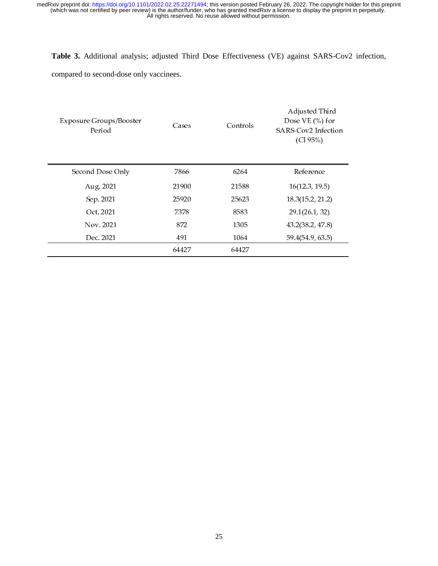#### **Table 3.** Additional analysis; adjusted Third Dose Effectiveness (VE) against SARS-Cov2 infection,

compared to second-dose only vaccinees.

| <b>Exposure Groups/Booster</b><br>Period | Cases | Controls | Adjusted Third<br>Dose $VE$ (%) for<br>SARS-Cov2 Infection<br>(CI 95%) |
|------------------------------------------|-------|----------|------------------------------------------------------------------------|
| Second Dose Only                         | 7866  | 6264     | Reference                                                              |
| Aug. 2021                                | 21900 | 21588    | 16(12.3, 19.5)                                                         |
| Sep. 2021                                | 25920 | 25623    | 18.3(15.2, 21.2)                                                       |
| Oct. 2021                                | 7378  | 8583     | 29.1(26.1, 32)                                                         |
| Nov. 2021                                | 872   | 1305     | 43.2(38.2, 47.8)                                                       |
| Dec. 2021                                | 491   | 1064     | 59.4(54.9, 63.5)                                                       |
|                                          | 64427 | 64427    |                                                                        |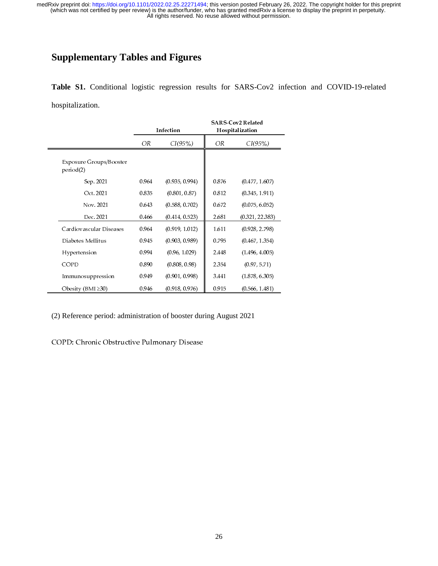# **Supplementary Tables and Figures**

**Table S1.** Conditional logistic regression results for SARS-Cov2 infection and COVID-19-related hospitalization.

|                                      |               | Infection      | <b>SARS-Cov2 Related</b><br>Hospitalization |                 |  |
|--------------------------------------|---------------|----------------|---------------------------------------------|-----------------|--|
|                                      | CI(95%)<br>OR |                | OR                                          | CI(95%)         |  |
| Exposure Groups/Booster<br>period(2) |               |                |                                             |                 |  |
| Sep. 2021                            | 0.964         | (0.935, 0.994) | 0.876                                       | (0.477, 1.607)  |  |
| Oct. 2021                            | 0.835         | (0.801, 0.87)  | 0.812                                       | (0.345, 1.911)  |  |
| Nov. 2021                            | 0.643         | (0.588, 0.702) | 0.672                                       | (0.075, 6.052)  |  |
| Dec. 2021                            | 0.466         | (0.414, 0.523) | 2.681                                       | (0.321, 22.383) |  |
| Cardiovascular Diseases              | 0.964         | (0.919, 1.012) | 1.611                                       | (0.928, 2.798)  |  |
| Diabetes Mellitus                    | 0.945         | (0.903, 0.989) | 0.795                                       | (0.467, 1.354)  |  |
| Hypertension                         | 0.994         | (0.96, 1.029)  | 2.448                                       | (1.496, 4.005)  |  |
| COPD                                 | 0.890         | (0.808, 0.98)  | 2.354                                       | (0.97, 5.71)    |  |
| Immunosuppression                    | 0.949         | (0.901, 0.998) | 3.441                                       | (1.878, 6.305)  |  |
| Obesity (BMI $\geq$ 30)              | 0.946         | (0.918, 0.976) | 0.915                                       | (0.566, 1.481)  |  |

(2) Reference period: administration of booster during August 2021

COPD: Chronic Obstructive Pulmonary Disease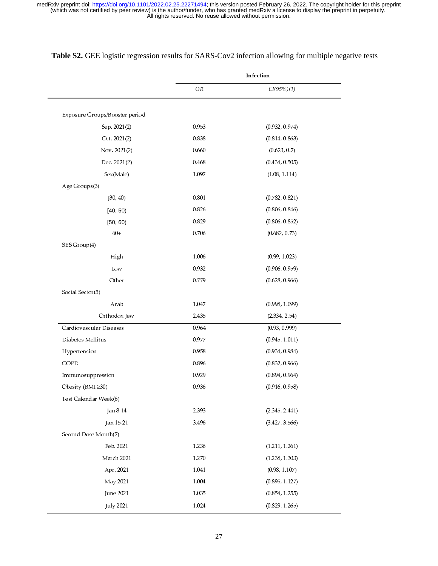|                                | Infection |                |  |
|--------------------------------|-----------|----------------|--|
|                                | OR        | CI(95%)(1)     |  |
| Exposure Groups/Booster period |           |                |  |
| Sep. 2021(2)                   | 0.953     | (0.932, 0.974) |  |
| Oct. 2021(2)                   | 0.838     | (0.814, 0.863) |  |
| Nov. 2021(2)                   | 0.660     | (0.623, 0.7)   |  |
| Dec. 2021(2)                   | 0.468     | (0.434, 0.505) |  |
| Sex(Male)                      | 1.097     | (1.08, 1.114)  |  |
| Age Groups(3)                  |           |                |  |
| [30, 40]                       | 0.801     | (0.782, 0.821) |  |
| [40, 50)                       | 0.826     | (0.806, 0.846) |  |
| [50, 60)                       | 0.829     | (0.806, 0.852) |  |
| $60+$                          | 0.706     | (0.682, 0.73)  |  |
| SES Group(4)                   |           |                |  |
| High                           | 1.006     | (0.99, 1.023)  |  |
| Low                            | 0.932     | (0.906, 0.959) |  |
| Other                          | 0.779     | (0.628, 0.966) |  |
| Social Sector(5)               |           |                |  |
| Arab                           | 1.047     | (0.998, 1.099) |  |
| Orthodox Jew                   | 2.435     | (2.334, 2.54)  |  |
| Cardiovascular Diseases        | 0.964     | (0.93, 0.999)  |  |
| Diabetes Mellitus              | 0.977     | (0.945, 1.011) |  |
| Hypertension                   | 0.958     | (0.934, 0.984) |  |
| COPD                           | 0.896     | (0.832, 0.966) |  |
| Immunosuppression              | 0.929     | (0.894, 0.964) |  |
| Obesity (BMI ≥30)              | 0.936     | (0.916, 0.958) |  |
| Test Calendar Week(6)          |           |                |  |
| Jan 8-14                       | 2.393     | (2.345, 2.441) |  |
| Jan 15-21                      | 3.496     | (3.427, 3.566) |  |
| Second Dose Month(7)           |           |                |  |
| Feb. 2021                      | 1.236     | (1.211, 1.261) |  |
| March 2021                     | 1.270     | (1.238, 1.303) |  |
| Apr. 2021                      | 1.041     | (0.98, 1.107)  |  |
| May 2021                       | 1.004     | (0.895, 1.127) |  |
| June 2021                      | 1.035     | (0.854, 1.255) |  |
| <b>July 2021</b>               | 1.024     | (0.829, 1.265) |  |

# **Table S2.** GEE logistic regression results for SARS-Cov2 infection allowing for multiple negative tests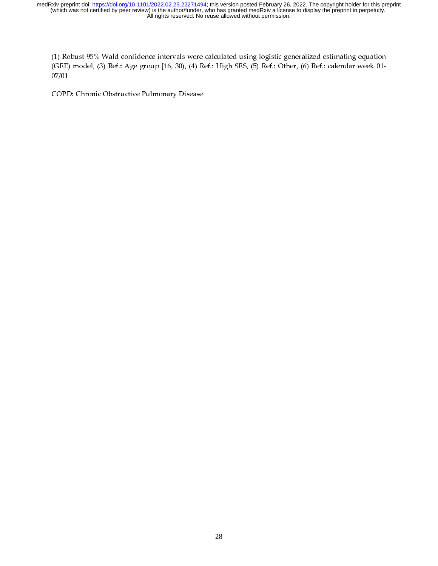(1) Robust 95% Wald confidence intervals were calculated using logistic generalized estimating equation (GEE) model, (3) Ref.: Age group [16, 30), (4) Ref.: High SES, (5) Ref.: Other, (6) Ref.: calendar week 01- 07/01

COPD: Chronic Obstructive Pulmonary Disease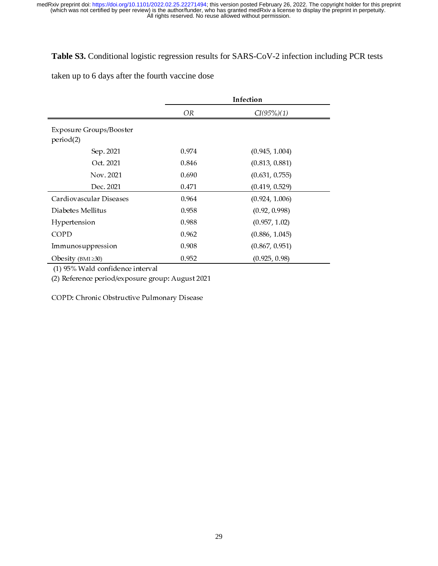# **Table S3.** Conditional logistic regression results for SARS-CoV-2 infection including PCR tests

taken up to 6 days after the fourth vaccine dose

|                                             | Infection |                |  |
|---------------------------------------------|-----------|----------------|--|
|                                             | OR        | CI(95%)(1)     |  |
| <b>Exposure Groups/Booster</b><br>period(2) |           |                |  |
| Sep. 2021                                   | 0.974     | (0.945, 1.004) |  |
| Oct. 2021                                   | 0.846     | (0.813, 0.881) |  |
| Nov. 2021                                   | 0.690     | (0.631, 0.755) |  |
| Dec. 2021                                   | 0.471     | (0.419, 0.529) |  |
| Cardiovascular Diseases                     | 0.964     | (0.924, 1.006) |  |
| Diabetes Mellitus                           | 0.958     | (0.92, 0.998)  |  |
| Hypertension                                | 0.988     | (0.957, 1.02)  |  |
| <b>COPD</b>                                 | 0.962     | (0.886, 1.045) |  |
| Immunosuppression                           | 0.908     | (0.867, 0.951) |  |
| Obesity (BMI $\geq 30$ )                    | 0.952     | (0.925, 0.98)  |  |

 $(1)$  95% wald confidence interval

(2) Reference period/exposure group: August 2021

COPD: Chronic Obstructive Pulmonary Disease